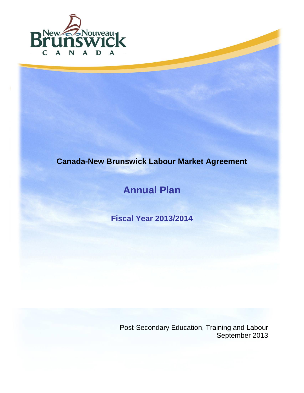

# **Canada-New Brunswick Labour Market Agreement**

# **Annual Plan**

**Fiscal Year 2013/2014**

Post-Secondary Education, Training and Labour September 2013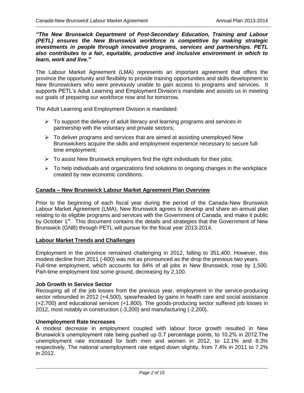*"The New Brunswick Department of Post-Secondary Education, Training and Labour (PETL) ensures the New Brunswick workforce is competitive by making strategic investments in people through innovative programs, services and partnerships. PETL also contributes to a fair, equitable, productive and inclusive environment in which to learn, work and live."*

The Labour Market Agreement (LMA) represents an important agreement that offers the province the opportunity and flexibility to provide training opportunities and skills development to New Brunswickers who were previously unable to gain access to programs and services. It supports PETL's Adult Learning and Employment Division's mandate and assists us in meeting our goals of preparing our workforce now and for tomorrow.

The Adult Learning and Employment Division is mandated:

- $\triangleright$  To support the delivery of adult literacy and learning programs and services in partnership with the voluntary and private sectors;
- $\triangleright$  To deliver programs and services that are aimed at assisting unemployed New Brunswickers acquire the skills and employment experience necessary to secure fulltime employment;
- $\triangleright$  To assist New Brunswick employers find the right individuals for their jobs;
- $\triangleright$  To help individuals and organizations find solutions to ongoing changes in the workplace created by new economic conditions.

### **Canada – New Brunswick Labour Market Agreement Plan Overview**

Prior to the beginning of each fiscal year during the period of the Canada-New Brunswick Labour Market Agreement (LMA), New Brunswick agrees to develop and share an annual plan relating to its eligible programs and services with the Government of Canada, and make it public by October 1<sup>st</sup>. This document contains the details and strategies that the Government of New Brunswick (GNB) through PETL will pursue for the fiscal year 2013-2014.

### **Labour Market Trends and Challenges**

Employment in the province remained challenging in 2012, falling to 351,400. However, this modest decline from 2011 (-600) was not as pronounced as the drop the previous two years. Full-time employment, which accounts for 84% of all jobs in New Brunswick, rose by 1,500. Part-time employment lost some ground, decreasing by 2,100.

### **Job Growth in Service Sector**

Recouping all of the job losses from the previous year, employment in the service-producing sector rebounded in 2012 (+4,500), spearheaded by gains in health care and social assistance (+2,700) and educational services (+1,800). The goods-producing sector suffered job losses in 2012, most notably in construction (-3,200) and manufacturing (-2,200).

### **Unemployment Rate Increases**

A modest decrease in employment coupled with labour force growth resulted in New Brunswick's unemployment rate being pushed up 0.7 percentage points, to 10.2% in 2012.The unemployment rate increased for both men and women in 2012, to 12.1% and 8.3% respectively. The national unemployment rate edged down slightly, from 7.4% in 2011 to 7.2% in 2012.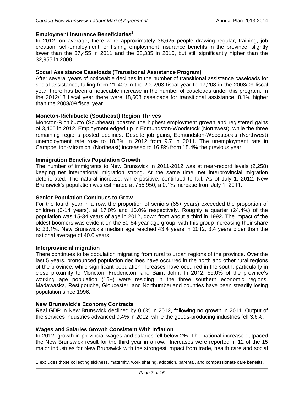### **Employment Insurance Beneficiaries<sup>1</sup>**

In 2012, on average, there were approximately 36,625 people drawing regular, training, job creation, self-employment, or fishing employment insurance benefits in the province, slightly lower than the 37,455 in 2011 and the 38,335 in 2010, but still significantly higher than the 32,955 in 2008.

### **Social Assistance Caseloads (Transitional Assistance Program)**

After several years of noticeable declines in the number of transitional assistance caseloads for social assistance, falling from 21,400 in the 2002/03 fiscal year to 17,208 in the 2008/09 fiscal year, there has been a noticeable increase in the number of caseloads under this program. In the 2012/13 fiscal year there were 18,608 caseloads for transitional assistance, 8.1% higher than the 2008/09 fiscal year.

### **Moncton-Richibucto (Southeast) Region Thrives**

Moncton-Richibucto (Southeast) boasted the highest employment growth and registered gains of 3,400 in 2012. Employment edged up in Edmundston-Woodstock (Northwest), while the three remaining regions posted declines. Despite job gains, Edmundston-Woodstock's (Northwest) unemployment rate rose to 10.8% in 2012 from 9.7 in 2011. The unemployment rate in Campbellton-Miramichi (Northeast) increased to 16.8% from 15.4% the previous year.

### **Immigration Benefits Population Growth**

The number of immigrants to New Brunswick in 2011-2012 was at near-record levels (2,258) keeping net international migration strong. At the same time, net interprovincial migration deteriorated. The natural increase, while positive, continued to fall. As of July 1, 2012, New Brunswick's population was estimated at 755,950, a 0.1% increase from July 1, 2011.

### **Senior Population Continues to Grow**

For the fourth year in a row, the proportion of seniors (65+ years) exceeded the proportion of children (0-14 years), at 17.0% and 15.0% respectively. Roughly a quarter (24.4%) of the population was 15-34 years of age in 2012, down from about a third in 1992. The impact of the oldest boomers was evident on the 50-64 year age group, with this group increasing their share to 23.1%. New Brunswick's median age reached 43.4 years in 2012, 3.4 years older than the national average of 40.0 years.

### **Interprovincial migration**

 $\overline{a}$ 

There continues to be population migrating from rural to urban regions of the province. Over the last 5 years, pronounced population declines have occurred in the north and other rural regions of the province, while significant population increases have occurred in the south, particularly in close proximity to Moncton, Fredericton, and Saint John. In 2012, 69.0% of the province's working age population (15+) were residing in the three southern economic regions. Madawaska, Restigouche, Gloucester, and Northumberland counties have been steadily losing population since 1996.

### **New Brunswick's Economy Contracts**

Real GDP in New Brunswick declined by 0.6% in 2012, following no growth in 2011. Output of the services industries advanced 0.4% in 2012, while the goods-producing industries fell 3.6%.

### **Wages and Salaries Growth Consistent With Inflation**

In 2012, growth in provincial wages and salaries fell below 2%. The national increase outpaced the New Brunswick result for the third year in a row. Increases were reported in 12 of the 15 major industries for New Brunswick with the strongest impact from trade, health care and social

<sup>1</sup> excludes those collecting sickness, maternity, work sharing, adoption, parental, and compassionate care benefits.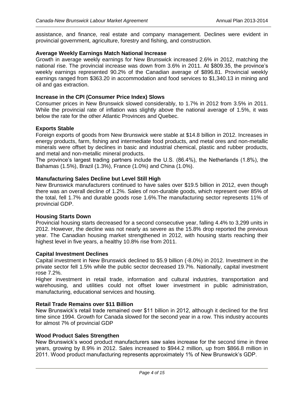assistance, and finance, real estate and company management. Declines were evident in provincial government, agriculture, forestry and fishing, and construction.

### **Average Weekly Earnings Match National Increase**

Growth in average weekly earnings for New Brunswick increased 2.6% in 2012, matching the national rise. The provincial increase was down from 3.6% in 2011. At \$809.35, the province's weekly earnings represented 90.2% of the Canadian average of \$896.81. Provincial weekly earnings ranged from \$363.20 in accommodation and food services to \$1,340.13 in mining and oil and gas extraction.

### **Increase in the CPI (Consumer Price Index) Slows**

Consumer prices in New Brunswick slowed considerably, to 1.7% in 2012 from 3.5% in 2011. While the provincial rate of inflation was slightly above the national average of 1.5%, it was below the rate for the other Atlantic Provinces and Quebec.

### **Exports Stable**

Foreign exports of goods from New Brunswick were stable at \$14.8 billion in 2012. Increases in energy products, farm, fishing and intermediate food products, and metal ores and non-metallic minerals were offset by declines in basic and industrial chemical, plastic and rubber products, and metal and non-metallic mineral products.

The province's largest trading partners include the U.S. (86.4%), the Netherlands (1.8%), the Bahamas (1.5%), Brazil (1.3%), France (1.0%) and China (1.0%).

### **Manufacturing Sales Decline but Level Still High**

New Brunswick manufacturers continued to have sales over \$19.5 billion in 2012, even though there was an overall decline of 1.2%. Sales of non-durable goods, which represent over 85% of the total, fell 1.7% and durable goods rose 1.6%.The manufacturing sector represents 11% of provincial GDP.

### **Housing Starts Down**

Provincial housing starts decreased for a second consecutive year, falling 4.4% to 3,299 units in 2012. However, the decline was not nearly as severe as the 15.8% drop reported the previous year. The Canadian housing market strengthened in 2012, with housing starts reaching their highest level in five years, a healthy 10.8% rise from 2011.

### **Capital Investment Declines**

Capital investment in New Brunswick declined to \$5.9 billion (-8.0%) in 2012. Investment in the private sector fell 1.5% while the public sector decreased 19.7%. Nationally, capital investment rose 7.2%.

Higher investment in retail trade, information and cultural industries, transportation and warehousing, and utilities could not offset lower investment in public administration, manufacturing, educational services and housing.

### **Retail Trade Remains over \$11 Billion**

New Brunswick's retail trade remained over \$11 billion in 2012, although it declined for the first time since 1994. Growth for Canada slowed for the second year in a row. This industry accounts for almost 7% of provincial GDP

### **Wood Product Sales Strengthen**

New Brunswick's wood product manufacturers saw sales increase for the second time in three years, growing by 8.9% in 2012. Sales increased to \$944.2 million, up from \$866.8 million in 2011. Wood product manufacturing represents approximately 1% of New Brunswick's GDP.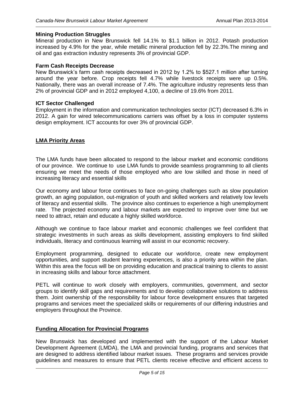### **Mining Production Struggles**

Mineral production in New Brunswick fell 14.1% to \$1.1 billion in 2012. Potash production increased by 4.9% for the year, while metallic mineral production fell by 22.3%.The mining and oil and gas extraction industry represents 3% of provincial GDP.

### **Farm Cash Receipts Decrease**

New Brunswick's farm cash receipts decreased in 2012 by 1.2% to \$527.1 million after turning around the year before. Crop receipts fell 4.7% while livestock receipts were up 0.5%. Nationally, there was an overall increase of 7.4%. The agriculture industry represents less than 2% of provincial GDP and in 2012 employed 4,100, a decline of 19.6% from 2011.

### **ICT Sector Challenged**

Employment in the information and communication technologies sector (ICT) decreased 6.3% in 2012. A gain for wired telecommunications carriers was offset by a loss in computer systems design employment. ICT accounts for over 3% of provincial GDP.

### **LMA Priority Areas**

The LMA funds have been allocated to respond to the labour market and economic conditions of our province. We continue to use LMA funds to provide seamless programming to all clients ensuring we meet the needs of those employed who are low skilled and those in need of increasing literacy and essential skills

Our economy and labour force continues to face on-going challenges such as slow population growth, an aging population, out-migration of youth and skilled workers and relatively low levels of literacy and essential skills. The province also continues to experience a high unemployment rate. The projected economy and labour markets are expected to improve over time but we need to attract, retain and educate a highly skilled workforce.

Although we continue to face labour market and economic challenges we feel confident that strategic investments in such areas as skills development, assisting employers to find skilled individuals, literacy and continuous learning will assist in our economic recovery.

Employment programming, designed to educate our workforce, create new employment opportunities, and support student learning experiences, is also a priority area within the plan. Within this area the focus will be on providing education and practical training to clients to assist in increasing skills and labour force attachment.

PETL will continue to work closely with employers, communities, government, and sector groups to identify skill gaps and requirements and to develop collaborative solutions to address them. Joint ownership of the responsibility for labour force development ensures that targeted programs and services meet the specialized skills or requirements of our differing industries and employers throughout the Province.

### **Funding Allocation for Provincial Programs**

New Brunswick has developed and implemented with the support of the Labour Market Development Agreement (LMDA), the LMA and provincial funding, programs and services that are designed to address identified labour market issues. These programs and services provide guidelines and measures to ensure that PETL clients receive effective and efficient access to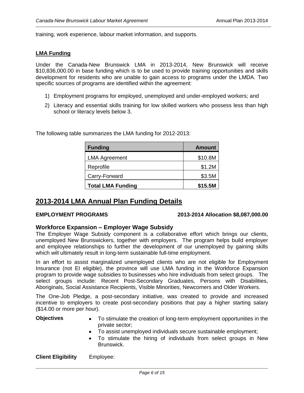training, work experience, labour market information, and supports.

### **LMA Funding**

Under the Canada-New Brunswick LMA in 2013-2014, New Brunswick will receive \$10,836,000.00 in base funding which is to be used to provide training opportunities and skills development for residents who are unable to gain access to programs under the LMDA. Two specific sources of programs are identified within the agreement:

- 1) Employment programs for employed, unemployed and under-employed workers; and
- 2) Literacy and essential skills training for low skilled workers who possess less than high school or literacy levels below 3.

| <b>Funding</b>           | <b>Amount</b> |
|--------------------------|---------------|
| <b>LMA Agreement</b>     | \$10.8M       |
| Reprofile                | \$1.2M        |
| Carry-Forward            | \$3.5M        |
| <b>Total LMA Funding</b> | \$15.5M       |

The following table summarizes the LMA funding for 2012-2013:

### **2013-2014 LMA Annual Plan Funding Details**

### **EMPLOYMENT PROGRAMS 2013-2014 Allocation \$8,087,000.00**

### **Workforce Expansion – Employer Wage Subsidy**

The Employer Wage Subsidy component is a collaborative effort which brings our clients, unemployed New Brunswickers, together with employers. The program helps build employer and employee relationships to further the development of our unemployed by gaining skills which will ultimately result in long-term sustainable full-time employment.

In an effort to assist marginalized unemployed clients who are not eligible for Employment Insurance (not EI eligible), the province will use LMA funding in the Workforce Expansion program to provide wage subsidies to businesses who hire individuals from select groups. The select groups include: Recent Post-Secondary Graduates, Persons with Disabilities, Aboriginals, Social Assistance Recipients, Visible Minorities, Newcomers and Older Workers.

The One-Job Pledge, a post-secondary initiative, was created to provide and increased incentive to employers to create post-secondary positions that pay a higher starting salary (\$14.00 or more per hour).

- **Objectives** To stimulate the creation of long-term employment opportunities in the private sector;
	- To assist unemployed individuals secure sustainable employment;
	- To stimulate the hiring of individuals from select groups in New Brunswick.

**Client Eligibility** Employee: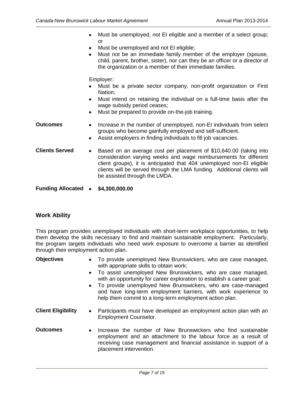- Must be unemployed, not EI eligible and a member of a select group; or
	- Must be unemployed and not EI eligible;  $\bullet$
	- Must not be an immediate family member of the employer (spouse, child, parent, brother, sister), nor can they be an officer or a director of the organization or a member of their immediate families.

Employer:

- Must be a private sector company, non-profit organization or First Nation;
- Must intend on retaining the individual on a full-time basis after the  $\bullet$ wage subsidy period ceases;
- Must be prepared to provide on-the-job training.  $\bullet$
- **Outcomes** Increase in the number of unemployed, non-EI individuals from select groups who become gainfully employed and self-sufficient.
	- Assist employers in finding individuals to fill job vacancies.  $\bullet$
- **Clients Served** . Based on an average cost per placement of \$10,640.00 (taking into consideration varying weeks and wage reimbursements for different client groups), it is anticipated that 404 unemployed non-EI eligible clients will be served through the LMA funding. Additional clients will be assisted through the LMDA.
- **Funding Allocated \$4,300,000.00**

### **Work Ability**

This program provides unemployed individuals with short-term workplace opportunities, to help them develop the skills necessary to find and maintain sustainable employment. Particularly, the program targets individuals who need work exposure to overcome a barrier as identified through their employment action plan.

| <b>Objectives</b>         | • To provide unemployed New Brunswickers, who are case managed,<br>with appropriate skills to obtain work;<br>• To assist unemployed New Brunswickers, who are case managed,<br>with an opportunity for career exploration to establish a career goal;<br>• To provide unemployed New Brunswickers, who are case-managed<br>and have long-term employment barriers, with work experience to<br>help them commit to a long-term employment action plan. |
|---------------------------|--------------------------------------------------------------------------------------------------------------------------------------------------------------------------------------------------------------------------------------------------------------------------------------------------------------------------------------------------------------------------------------------------------------------------------------------------------|
| <b>Client Eligibility</b> | Participants must have developed an employment action plan with an<br>$\bullet$<br><b>Employment Counselor.</b>                                                                                                                                                                                                                                                                                                                                        |
| <b>Outcomes</b>           | Increase the number of New Brunswickers who find sustainable<br>$\bullet$<br>employment and an attachment to the labour force as a result of<br>receiving case management and financial assistance in support of a<br>placement intervention.                                                                                                                                                                                                          |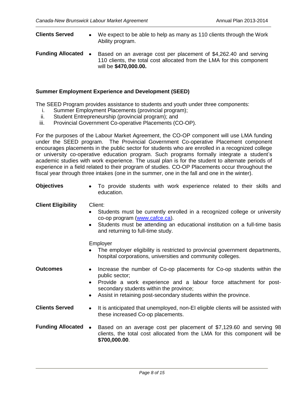**Clients Served** • We expect to be able to help as many as 110 clients through the Work Ability program. **Funding Allocated** • Based on an average cost per placement of \$4,262.40 and serving 110 clients, the total cost allocated from the LMA for this component

# **Summer Employment Experience and Development (SEED)**

will be **\$470,000.00.**

The SEED Program provides assistance to students and youth under three components:

- i. Summer Employment Placements (provincial program);
- ii. Student Entrepreneurship (provincial program); and
- iii. Provincial Government Co-operative Placements (CO-OP).

For the purposes of the Labour Market Agreement, the CO-OP component will use LMA funding under the SEED program. The Provincial Government Co-operative Placement component encourages placements in the public sector for students who are enrolled in a recognized college or university co-operative education program. Such programs formally integrate a student's academic studies with work experience. The usual plan is for the student to alternate periods of experience in a field related to their program of studies. CO-OP Placements occur throughout the fiscal year through three intakes (one in the summer, one in the fall and one in the winter).

| <b>Objectives</b>         | To provide students with work experience related to their skills and<br>$\bullet$<br>education.                                                                                                                                                                                                    |  |  |  |
|---------------------------|----------------------------------------------------------------------------------------------------------------------------------------------------------------------------------------------------------------------------------------------------------------------------------------------------|--|--|--|
| <b>Client Eligibility</b> | Client:<br>Students must be currently enrolled in a recognized college or university<br>co-op program (www.cafce.ca).<br>Students must be attending an educational institution on a full-time basis<br>$\bullet$<br>and returning to full-time study.                                              |  |  |  |
|                           | Employer<br>The employer eligibility is restricted to provincial government departments,<br>$\bullet$<br>hospital corporations, universities and community colleges.                                                                                                                               |  |  |  |
| <b>Outcomes</b>           | Increase the number of Co-op placements for Co-op students within the<br>٠<br>public sector;<br>Provide a work experience and a labour force attachment for post-<br>$\bullet$<br>secondary students within the province;<br>Assist in retaining post-secondary students within the province.<br>٠ |  |  |  |
| <b>Clients Served</b>     | It is anticipated that unemployed, non-EI eligible clients will be assisted with<br>$\bullet$<br>these increased Co-op placements.                                                                                                                                                                 |  |  |  |
| <b>Funding Allocated</b>  | Based on an average cost per placement of \$7,129.60 and serving 98<br>$\bullet$<br>clients, the total cost allocated from the LMA for this component will be<br>\$700,000.00.                                                                                                                     |  |  |  |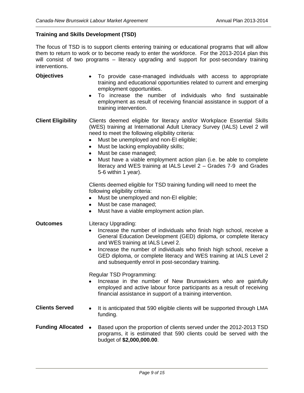### **Training and Skills Development (TSD)**

The focus of TSD is to support clients entering training or educational programs that will allow them to return to work or to become ready to enter the workforce. For the 2013-2014 plan this will consist of two programs – literacy upgrading and support for post-secondary training interventions.

- **Objectives** To provide case-managed individuals with access to appropriate training and educational opportunities related to current and emerging employment opportunities. To increase the number of individuals who find sustainable  $\bullet$ employment as result of receiving financial assistance in support of a training intervention. **Client Eligibility** Clients deemed eligible for literacy and/or Workplace Essential Skills (WES) training at International Adult Literacy Survey (IALS) Level 2 will need to meet the following eligibility criteria: Must be unemployed and non-EI eligible;  $\bullet$ Must be lacking employability skills; Must be case managed; Must have a viable employment action plan (i.e. be able to complete literacy and WES training at IALS Level 2 – Grades 7-9 and Grades 5-6 within 1 year). Clients deemed eligible for TSD training funding will need to meet the following eligibility criteria:
	- Must be unemployed and non-EI eligible;  $\bullet$
	- Must be case managed;
	- Must have a viable employment action plan.

### **Outcomes** Literacy Upgrading:

- Increase the number of individuals who finish high school, receive a General Education Development (GED) diploma, or complete literacy and WES training at IALS Level 2.
- Increase the number of individuals who finish high school, receive a  $\bullet$ GED diploma, or complete literacy and WES training at IALS Level 2 and subsequently enrol in post-secondary training.

Regular TSD Programming:

- Increase in the number of New Brunswickers who are gainfully employed and active labour force participants as a result of receiving financial assistance in support of a training intervention.
- **Clients Served** It is anticipated that 590 eligible clients will be supported through LMA funding.
- **Funding Allocated •** Based upon the proportion of clients served under the 2012-2013 TSD programs, it is estimated that 590 clients could be served with the budget of **\$2,000,000.00**.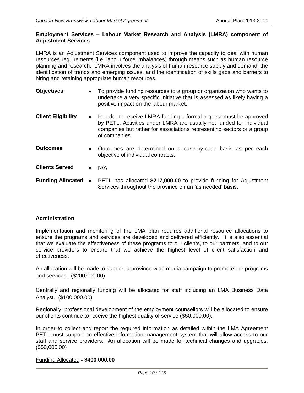### **Employment Services – Labour Market Research and Analysis (LMRA) component of Adjustment Services**

LMRA is an Adjustment Services component used to improve the capacity to deal with human resources requirements (i.e. labour force imbalances) through means such as human resource planning and research. LMRA involves the analysis of human resource supply and demand, the identification of trends and emerging issues, and the identification of skills gaps and barriers to hiring and retaining appropriate human resources.

- **Objectives** To provide funding resources to a group or organization who wants to undertake a very specific initiative that is assessed as likely having a positive impact on the labour market.
- **Client Eligibility** In order to receive LMRA funding a formal request must be approved by PETL. Activities under LMRA are usually not funded for individual companies but rather for associations representing sectors or a group of companies.
- **Outcomes** Outcomes are determined on a case-by-case basis as per each objective of individual contracts.
- **Clients Served N/A**
- **Funding Allocated** PETL has allocated \$217,000.00 to provide funding for Adjustment Services throughout the province on an 'as needed' basis.

### **Administration**

Implementation and monitoring of the LMA plan requires additional resource allocations to ensure the programs and services are developed and delivered efficiently. It is also essential that we evaluate the effectiveness of these programs to our clients, to our partners, and to our service providers to ensure that we achieve the highest level of client satisfaction and effectiveness.

An allocation will be made to support a province wide media campaign to promote our programs and services. (\$200,000.00)

Centrally and regionally funding will be allocated for staff including an LMA Business Data Analyst. (\$100,000.00)

Regionally, professional development of the employment counsellors will be allocated to ensure our clients continue to receive the highest quality of service (\$50,000.00).

In order to collect and report the required information as detailed within the LMA Agreement PETL must support an effective information management system that will allow access to our staff and service providers. An allocation will be made for technical changes and upgrades. (\$50,000.00)

### Funding Allocated **- \$400,000.00**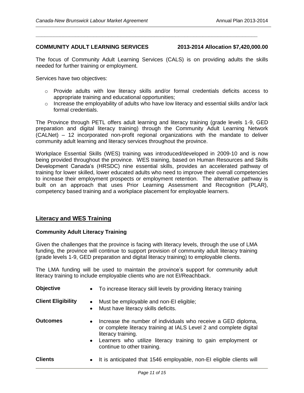### **COMMUNITY ADULT LEARNING SERVICES 2013-2014 Allocation \$7,420,000.00**

The focus of Community Adult Learning Services (CALS) is on providing adults the skills needed for further training or employment.

**\_\_\_\_\_\_\_\_\_\_\_\_\_\_\_\_\_\_\_\_\_\_\_\_\_\_\_\_\_\_\_\_\_\_\_\_\_\_\_\_\_\_\_\_\_\_\_\_\_\_\_\_\_\_\_\_\_\_\_\_\_\_\_\_\_\_\_\_\_\_\_\_\_**

Services have two objectives:

- o Provide adults with low literacy skills and/or formal credentials deficits access to appropriate training and educational opportunities;
- $\circ$  Increase the employability of adults who have low literacy and essential skills and/or lack formal credentials.

The Province through PETL offers adult learning and literacy training (grade levels 1-9, GED preparation and digital literacy training) through the Community Adult Learning Network (CALNet) – 12 incorporated non-profit regional organizations with the mandate to deliver community adult learning and literacy services throughout the province.

Workplace Essential Skills (WES) training was introduced/developed in 2009-10 and is now being provided throughout the province. WES training, based on Human Resources and Skills Development Canada's (HRSDC) nine essential skills, provides an accelerated pathway of training for lower skilled, lower educated adults who need to improve their overall competencies to increase their employment prospects or employment retention. The alternative pathway is built on an approach that uses Prior Learning Assessment and Recognition (PLAR), competency based training and a workplace placement for employable learners.

### **Literacy and WES Training**

### **Community Adult Literacy Training**

Given the challenges that the province is facing with literacy levels, through the use of LMA funding, the province will continue to support provision of community adult literacy training (grade levels 1-9, GED preparation and digital literacy training) to employable clients.

The LMA funding will be used to maintain the province's support for community adult literacy training to include employable clients who are not EI/Reachback.

| <b>Objective</b>          | • To increase literacy skill levels by providing literacy training                                                                                                                                                                                  |
|---------------------------|-----------------------------------------------------------------------------------------------------------------------------------------------------------------------------------------------------------------------------------------------------|
| <b>Client Eligibility</b> | Must be employable and non-El eligible;<br>$\bullet$<br>Must have literacy skills deficits.<br>٠                                                                                                                                                    |
| <b>Outcomes</b>           | Increase the number of individuals who receive a GED diploma,<br>$\bullet$<br>or complete literacy training at IALS Level 2 and complete digital<br>literacy training.<br>Learners who utilize literacy training to gain employment or<br>$\bullet$ |
|                           | continue to other training.                                                                                                                                                                                                                         |
| <b>Clients</b>            | It is anticipated that 1546 employable, non-El eligible clients will<br>٠                                                                                                                                                                           |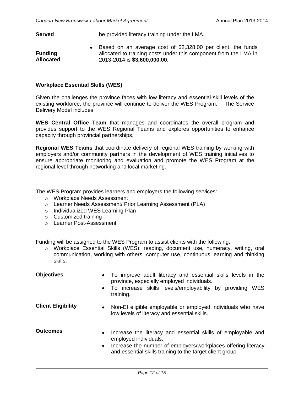**Served** be provided literacy training under the LMA.

**Funding Allocated** Based on an average cost of \$2,328.00 per client, the funds allocated to training costs under this component from the LMA in 2013-2014 is **\$3,600,000.00**.

### **Workplace Essential Skills (WES)**

Given the challenges the province faces with low literacy and essential skill levels of the existing workforce, the province will continue to deliver the WES Program. The Service Delivery Model includes:

**WES Central Office Team** that manages and coordinates the overall program and provides support to the WES Regional Teams and explores opportunities to enhance capacity through provincial partnerships.

**Regional WES Teams** that coordinate delivery of regional WES training by working with employers and/or community partners in the development of WES training initiatives to ensure appropriate monitoring and evaluation and promote the WES Program at the regional level through networking and local marketing.

The WES Program provides learners and employers the following services:

- o Workplace Needs Assessment
- o Learner Needs Assessment/ Prior Learning Assessment (PLA)
- o Individualized WES Learning Plan
- o Customized training
- o Learner Post-Assessment

Funding will be assigned to the WES Program to assist clients with the following:

o Workplace Essential Skills (WES): reading, document use, numeracy, writing, oral communication, working with others, computer use, continuous learning and thinking skills.

| <b>Objectives</b>         | To improve adult literacy and essential skills levels in the<br>$\bullet$<br>province, especially employed individuals.<br>To increase skills levels/employability by providing<br><b>WES</b><br>$\bullet$<br>training.                       |
|---------------------------|-----------------------------------------------------------------------------------------------------------------------------------------------------------------------------------------------------------------------------------------------|
| <b>Client Eligibility</b> | Non-EI eligible employable or employed individuals who have<br>$\bullet$<br>low levels of literacy and essential skills.                                                                                                                      |
| <b>Outcomes</b>           | Increase the literacy and essential skills of employable and<br>$\bullet$<br>employed individuals.<br>Increase the number of employers/workplaces offering literacy<br>$\bullet$<br>and essential skills training to the target client group. |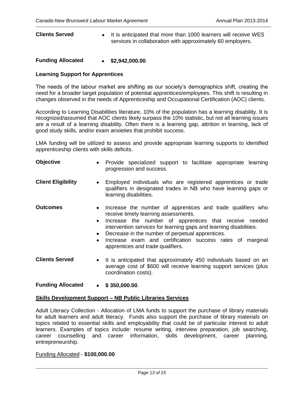## **Clients Served** • It is anticipated that more than 1000 learners will receive WES services in collaboration with approximately 60 employers.

### **Funding Allocated \$2,942,000.00**.

### **Learning Support for Apprentices**

The needs of the labour market are shifting as our society's demographics shift, creating the need for a broader target population of potential apprentices/employees. This shift is resulting in changes observed in the needs of Apprenticeship and Occupational Certification (AOC) clients.

According to Learning Disabilities literature, 10% of the population has a learning disability. It is recognized/assumed that AOC clients likely surpass the 10% statistic, but not all learning issues are a result of a learning disability. Often there is a learning gap, attrition in learning, lack of good study skills, and/or exam anxieties that prohibit success.

LMA funding will be utilized to assess and provide appropriate learning supports to identified apprenticeship clients with skills deficits.

| Objective                 | $\bullet$                                        | Provide specialized support to facilitate appropriate learning<br>progression and success.                                                                                                                                                                                                                                                                                                |
|---------------------------|--------------------------------------------------|-------------------------------------------------------------------------------------------------------------------------------------------------------------------------------------------------------------------------------------------------------------------------------------------------------------------------------------------------------------------------------------------|
| <b>Client Eligibility</b> | $\bullet$                                        | Employed individuals who are registered apprentices or trade<br>qualifiers in designated trades in NB who have learning gaps or<br>learning disabilities.                                                                                                                                                                                                                                 |
| <b>Outcomes</b>           | $\bullet$<br>$\bullet$<br>$\bullet$<br>$\bullet$ | Increase the number of apprentices and trade qualifiers who<br>receive timely learning assessments.<br>Increase the number of apprentices that receive needed<br>intervention services for learning gaps and learning disabilities.<br>Decrease in the number of perpetual apprentices.<br>Increase exam and certification success rates of marginal<br>apprentices and trade qualifiers. |
| <b>Clients Served</b>     | $\bullet$                                        | It is anticipated that approximately 450 individuals based on an<br>average cost of \$600 will receive learning support services (plus<br>coordination costs).                                                                                                                                                                                                                            |

**Funding Allocated \$ 350,000.00**.

### **Skills Development Support – NB Public Libraries Services**

Adult Literacy Collection - Allocation of LMA funds to support the purchase of library materials for adult learners and adult literacy. Funds also support the purchase of library materials on topics related to essential skills and employability that could be of particular interest to adult learners. Examples of topics include: resume writing, interview preparation, job searching, career counselling and career information, skills development, career planning, entrepreneurship.

### Funding Allocated - **\$100,000.00**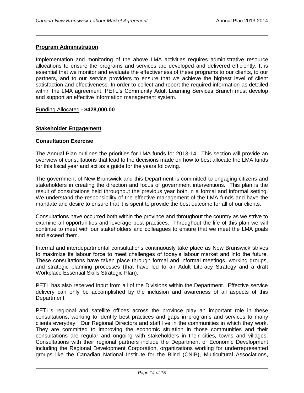### **Program Administration**

Implementation and monitoring of the above LMA activities requires administrative resource allocations to ensure the programs and services are developed and delivered efficiently. It is essential that we monitor and evaluate the effectiveness of these programs to our clients, to our partners, and to our service providers to ensure that we achieve the highest level of client satisfaction and effectiveness. In order to collect and report the required information as detailed within the LMA agreement, PETL's Community Adult Learning Services Branch must develop and support an effective information management system.

### Funding Allocated **- \$428,000.00**

### **Stakeholder Engagement**

### **Consultation Exercise**

The Annual Plan outlines the priorities for LMA funds for 2013-14. This section will provide an overview of consultations that lead to the decisions made on how to best allocate the LMA funds for this fiscal year and act as a guide for the years following.

The government of New Brunswick and this Department is committed to engaging citizens and stakeholders in creating the direction and focus of government interventions. This plan is the result of consultations held throughout the previous year both in a formal and informal setting. We understand the responsibility of the effective management of the LMA funds and have the mandate and desire to ensure that it is spent to provide the best outcome for all of our clients.

Consultations have occurred both within the province and throughout the country as we strive to examine all opportunities and leverage best practices. Throughout the life of this plan we will continue to meet with our stakeholders and colleagues to ensure that we meet the LMA goals and exceed them.

Internal and interdepartmental consultations continuously take place as New Brunswick strives to maximize its labour force to meet challenges of today's labour market and into the future. These consultations have taken place through formal and informal meetings, working groups, and strategic planning processes (that have led to an Adult Literacy Strategy and a draft Workplace Essential Skills Strategic Plan).

PETL has also received input from all of the Divisions within the Department. Effective service delivery can only be accomplished by the inclusion and awareness of all aspects of this Department.

PETL's regional and satellite offices across the province play an important role in these consultations, working to identify best practices and gaps in programs and services to many clients everyday. Our Regional Directors and staff live in the communities in which they work. They are committed to improving the economic situation in those communities and their consultations are regular and ongoing with stakeholders in their cities, towns and villages. Consultations with their regional partners include the Department of Economic Development including the Regional Development Corporation, organizations working for underrepresented groups like the Canadian National Institute for the Blind (CNIB), Multicultural Associations,